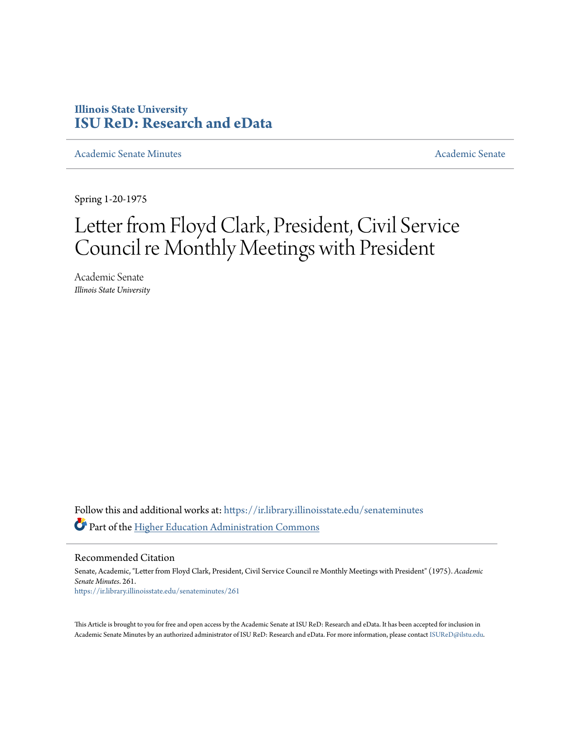## **Illinois State University [ISU ReD: Research and eData](https://ir.library.illinoisstate.edu?utm_source=ir.library.illinoisstate.edu%2Fsenateminutes%2F261&utm_medium=PDF&utm_campaign=PDFCoverPages)**

[Academic Senate Minutes](https://ir.library.illinoisstate.edu/senateminutes?utm_source=ir.library.illinoisstate.edu%2Fsenateminutes%2F261&utm_medium=PDF&utm_campaign=PDFCoverPages) [Academic Senate](https://ir.library.illinoisstate.edu/senate?utm_source=ir.library.illinoisstate.edu%2Fsenateminutes%2F261&utm_medium=PDF&utm_campaign=PDFCoverPages) Academic Senate

Spring 1-20-1975

# Letter from Floyd Clark, President, Civil Service Council re Monthly Meetings with President

Academic Senate *Illinois State University*

Follow this and additional works at: [https://ir.library.illinoisstate.edu/senateminutes](https://ir.library.illinoisstate.edu/senateminutes?utm_source=ir.library.illinoisstate.edu%2Fsenateminutes%2F261&utm_medium=PDF&utm_campaign=PDFCoverPages) Part of the [Higher Education Administration Commons](http://network.bepress.com/hgg/discipline/791?utm_source=ir.library.illinoisstate.edu%2Fsenateminutes%2F261&utm_medium=PDF&utm_campaign=PDFCoverPages)

Recommended Citation

Senate, Academic, "Letter from Floyd Clark, President, Civil Service Council re Monthly Meetings with President" (1975). *Academic Senate Minutes*. 261. [https://ir.library.illinoisstate.edu/senateminutes/261](https://ir.library.illinoisstate.edu/senateminutes/261?utm_source=ir.library.illinoisstate.edu%2Fsenateminutes%2F261&utm_medium=PDF&utm_campaign=PDFCoverPages)

This Article is brought to you for free and open access by the Academic Senate at ISU ReD: Research and eData. It has been accepted for inclusion in Academic Senate Minutes by an authorized administrator of ISU ReD: Research and eData. For more information, please contact [ISUReD@ilstu.edu.](mailto:ISUReD@ilstu.edu)